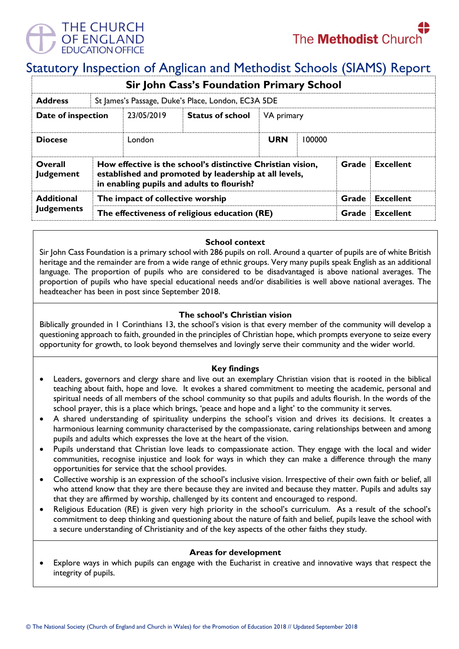

# Statutory Inspection of Anglican and Methodist Schools (SIAMS) Report

| <b>Sir John Cass's Foundation Primary School</b> |                                                                                                                                                                                                 |                                                    |                         |            |        |                  |                  |  |
|--------------------------------------------------|-------------------------------------------------------------------------------------------------------------------------------------------------------------------------------------------------|----------------------------------------------------|-------------------------|------------|--------|------------------|------------------|--|
| <b>Address</b>                                   |                                                                                                                                                                                                 | St James's Passage, Duke's Place, London, EC3A 5DE |                         |            |        |                  |                  |  |
| Date of inspection                               |                                                                                                                                                                                                 | 23/05/2019                                         | <b>Status of school</b> | VA primary |        |                  |                  |  |
| <b>Diocese</b>                                   |                                                                                                                                                                                                 | London                                             |                         | <b>URN</b> | 100000 |                  |                  |  |
| Overall<br><b>Judgement</b>                      | How effective is the school's distinctive Christian vision,<br><b>Excellent</b><br>Grade<br>established and promoted by leadership at all levels,<br>in enabling pupils and adults to flourish? |                                                    |                         |            |        |                  |                  |  |
| <b>Additional</b>                                | The impact of collective worship                                                                                                                                                                |                                                    |                         |            | Grade  | <b>Excellent</b> |                  |  |
| <b>Judgements</b>                                | The effectiveness of religious education (RE)                                                                                                                                                   |                                                    |                         |            |        | Grade            | <b>Excellent</b> |  |

## **School context**

Sir John Cass Foundation is a primary school with 286 pupils on roll. Around a quarter of pupils are of white British heritage and the remainder are from a wide range of ethnic groups. Very many pupils speak English as an additional language. The proportion of pupils who are considered to be disadvantaged is above national averages. The proportion of pupils who have special educational needs and/or disabilities is well above national averages. The headteacher has been in post since September 2018.

## **The school's Christian vision**

Biblically grounded in 1 Corinthians 13, the school's vision is that every member of the community will develop a questioning approach to faith, grounded in the principles of Christian hope, which prompts everyone to seize every opportunity for growth, to look beyond themselves and lovingly serve their community and the wider world.

## **Key findings**

- Leaders, governors and clergy share and live out an exemplary Christian vision that is rooted in the biblical teaching about faith, hope and love. It evokes a shared commitment to meeting the academic, personal and spiritual needs of all members of the school community so that pupils and adults flourish. In the words of the school prayer, this is a place which brings, 'peace and hope and a light' to the community it serves.
- A shared understanding of spirituality underpins the school's vision and drives its decisions. It creates a harmonious learning community characterised by the compassionate, caring relationships between and among pupils and adults which expresses the love at the heart of the vision.
- Pupils understand that Christian love leads to compassionate action. They engage with the local and wider communities, recognise injustice and look for ways in which they can make a difference through the many opportunities for service that the school provides.
- Collective worship is an expression of the school's inclusive vision. Irrespective of their own faith or belief, all who attend know that they are there because they are invited and because they matter. Pupils and adults say that they are affirmed by worship, challenged by its content and encouraged to respond.
- Religious Education (RE) is given very high priority in the school's curriculum. As a result of the school's commitment to deep thinking and questioning about the nature of faith and belief, pupils leave the school with a secure understanding of Christianity and of the key aspects of the other faiths they study.

## **Areas for development**

• Explore ways in which pupils can engage with the Eucharist in creative and innovative ways that respect the integrity of pupils.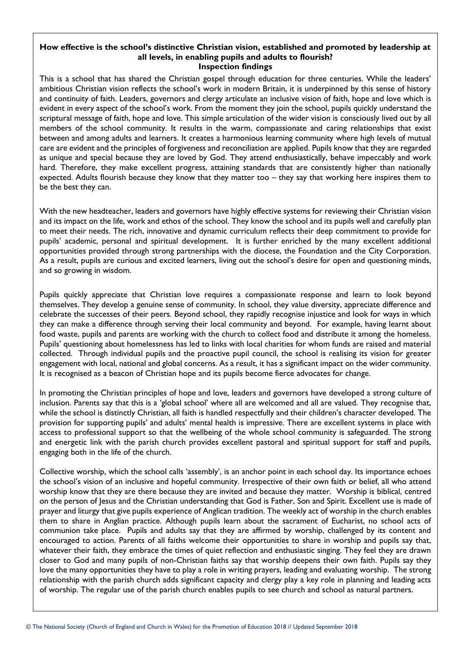#### **How effective is the school's distinctive Christian vision, established and promoted by leadership at all levels, in enabling pupils and adults to flourish? Inspection findings**

This is a school that has shared the Christian gospel through education for three centuries. While the leaders' ambitious Christian vision reflects the school's work in modern Britain, it is underpinned by this sense of history and continuity of faith. Leaders, governors and clergy articulate an inclusive vision of faith, hope and love which is evident in every aspect of the school's work. From the moment they join the school, pupils quickly understand the scriptural message of faith, hope and love. This simple articulation of the wider vision is consciously lived out by all members of the school community. It results in the warm, compassionate and caring relationships that exist between and among adults and learners. It creates a harmonious learning community where high levels of mutual care are evident and the principles of forgiveness and reconciliation are applied. Pupils know that they are regarded as unique and special because they are loved by God. They attend enthusiastically, behave impeccably and work hard. Therefore, they make excellent progress, attaining standards that are consistently higher than nationally expected. Adults flourish because they know that they matter too – they say that working here inspires them to be the best they can.

With the new headteacher, leaders and governors have highly effective systems for reviewing their Christian vision and its impact on the life, work and ethos of the school. They know the school and its pupils well and carefully plan to meet their needs. The rich, innovative and dynamic curriculum reflects their deep commitment to provide for pupils' academic, personal and spiritual development. It is further enriched by the many excellent additional opportunities provided through strong partnerships with the diocese, the Foundation and the City Corporation. As a result, pupils are curious and excited learners, living out the school's desire for open and questioning minds, and so growing in wisdom.

Pupils quickly appreciate that Christian love requires a compassionate response and learn to look beyond themselves. They develop a genuine sense of community. In school, they value diversity, appreciate difference and celebrate the successes of their peers. Beyond school, they rapidly recognise injustice and look for ways in which they can make a difference through serving their local community and beyond. For example, having learnt about food waste, pupils and parents are working with the church to collect food and distribute it among the homeless. Pupils' questioning about homelessness has led to links with local charities for whom funds are raised and material collected. Through individual pupils and the proactive pupil council, the school is realising its vision for greater engagement with local, national and global concerns. As a result, it has a significant impact on the wider community. It is recognised as a beacon of Christian hope and its pupils become fierce advocates for change.

In promoting the Christian principles of hope and love, leaders and governors have developed a strong culture of inclusion. Parents say that this is a 'global school' where all are welcomed and all are valued. They recognise that, while the school is distinctly Christian, all faith is handled respectfully and their children's character developed. The provision for supporting pupils' and adults' mental health is impressive. There are excellent systems in place with access to professional support so that the wellbeing of the whole school community is safeguarded. The strong and energetic link with the parish church provides excellent pastoral and spiritual support for staff and pupils, engaging both in the life of the church.

Collective worship, which the school calls 'assembly', is an anchor point in each school day. Its importance echoes the school's vision of an inclusive and hopeful community. Irrespective of their own faith or belief, all who attend worship know that they are there because they are invited and because they matter. Worship is biblical, centred on the person of Jesus and the Christian understanding that God is Father, Son and Spirit. Excellent use is made of prayer and liturgy that give pupils experience of Anglican tradition. The weekly act of worship in the church enables them to share in Anglian practice. Although pupils learn about the sacrament of Eucharist, no school acts of communion take place. Pupils and adults say that they are affirmed by worship, challenged by its content and encouraged to action. Parents of all faiths welcome their opportunities to share in worship and pupils say that, whatever their faith, they embrace the times of quiet reflection and enthusiastic singing. They feel they are drawn closer to God and many pupils of non-Christian faiths say that worship deepens their own faith. Pupils say they love the many opportunities they have to play a role in writing prayers, leading and evaluating worship. The strong relationship with the parish church adds significant capacity and clergy play a key role in planning and leading acts of worship. The regular use of the parish church enables pupils to see church and school as natural partners.